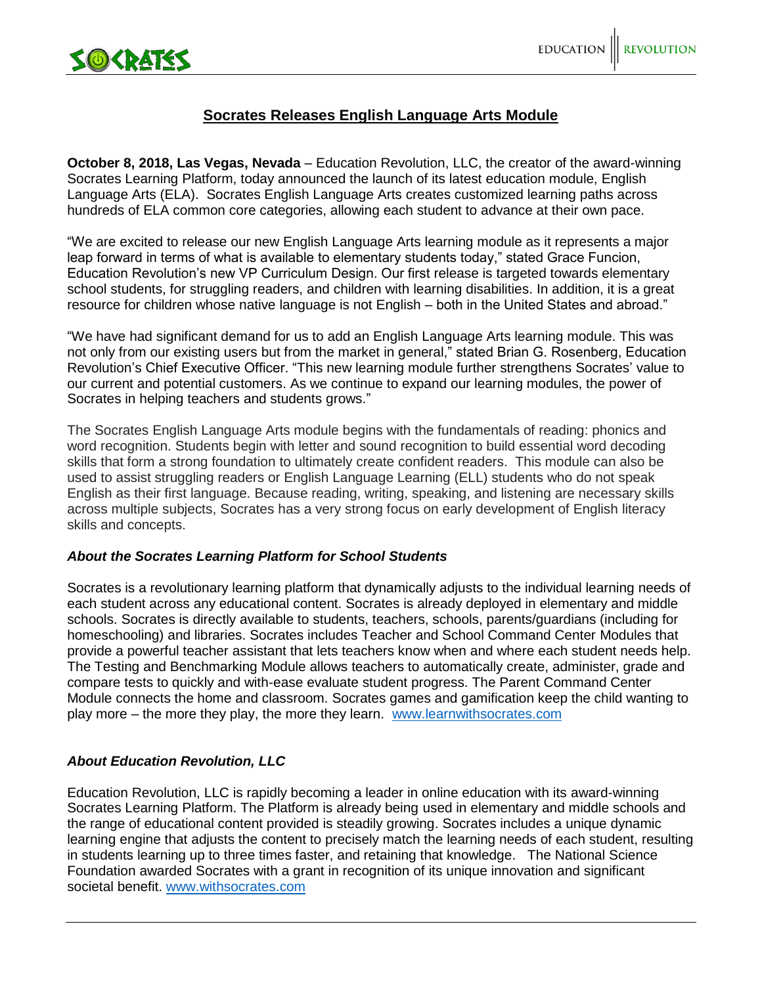

## **Socrates Releases English Language Arts Module**

**October 8, 2018, Las Vegas, Nevada** – Education Revolution, LLC, the creator of the award-winning Socrates Learning Platform, today announced the launch of its latest education module, English Language Arts (ELA). Socrates English Language Arts creates customized learning paths across hundreds of ELA common core categories, allowing each student to advance at their own pace.

"We are excited to release our new English Language Arts learning module as it represents a major leap forward in terms of what is available to elementary students today," stated Grace Funcion, Education Revolution's new VP Curriculum Design. Our first release is targeted towards elementary school students, for struggling readers, and children with learning disabilities. In addition, it is a great resource for children whose native language is not English – both in the United States and abroad."

"We have had significant demand for us to add an English Language Arts learning module. This was not only from our existing users but from the market in general," stated Brian G. Rosenberg, Education Revolution's Chief Executive Officer. "This new learning module further strengthens Socrates' value to our current and potential customers. As we continue to expand our learning modules, the power of Socrates in helping teachers and students grows."

The Socrates English Language Arts module begins with the fundamentals of reading: phonics and word recognition. Students begin with letter and sound recognition to build essential word decoding skills that form a strong foundation to ultimately create confident readers. This module can also be used to assist struggling readers or English Language Learning (ELL) students who do not speak English as their first language. Because reading, writing, speaking, and listening are necessary skills across multiple subjects, Socrates has a very strong focus on early development of English literacy skills and concepts.

## *About the Socrates Learning Platform for School Students*

Socrates is a revolutionary learning platform that dynamically adjusts to the individual learning needs of each student across any educational content. Socrates is already deployed in elementary and middle schools. Socrates is directly available to students, teachers, schools, parents/guardians (including for homeschooling) and libraries. Socrates includes Teacher and School Command Center Modules that provide a powerful teacher assistant that lets teachers know when and where each student needs help. The Testing and Benchmarking Module allows teachers to automatically create, administer, grade and compare tests to quickly and with-ease evaluate student progress. The Parent Command Center Module connects the home and classroom. Socrates games and gamification keep the child wanting to play more – the more they play, the more they learn. [www.learnwithsocrates.com](http://www.learnwithscorates.com/)

## *About Education Revolution, LLC*

Education Revolution, LLC is rapidly becoming a leader in online education with its award-winning Socrates Learning Platform. The Platform is already being used in elementary and middle schools and the range of educational content provided is steadily growing. Socrates includes a unique dynamic learning engine that adjusts the content to precisely match the learning needs of each student, resulting in students learning up to three times faster, and retaining that knowledge. The National Science Foundation awarded Socrates with a grant in recognition of its unique innovation and significant societal benefit. [www.withsocrates.com](http://www.withsocrates.com/)